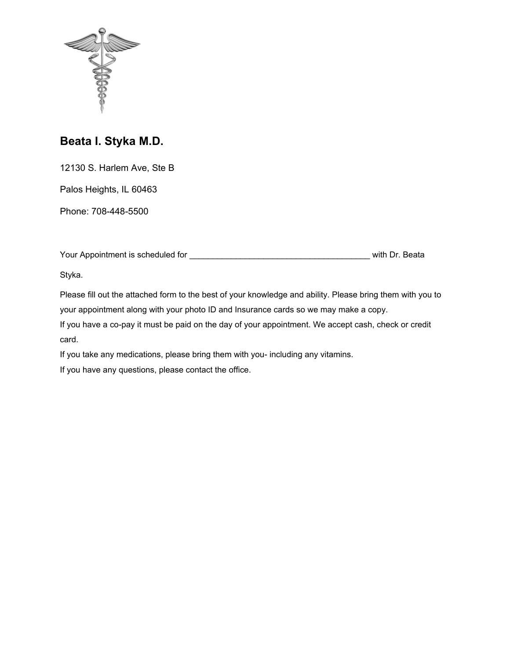

# **Beata I. Styka M.D.**

12130 S. Harlem Ave, Ste B

Palos Heights, IL 60463

Phone: 708-448-5500

| Your Appointment is scheduled for<br>with Dr. Beata |
|-----------------------------------------------------|
|-----------------------------------------------------|

Styka.

Please fill out the attached form to the best of your knowledge and ability. Please bring them with you to your appointment along with your photo ID and Insurance cards so we may make a copy.

If you have a co-pay it must be paid on the day of your appointment. We accept cash, check or credit card.

If you take any medications, please bring them with you- including any vitamins.

If you have any questions, please contact the office.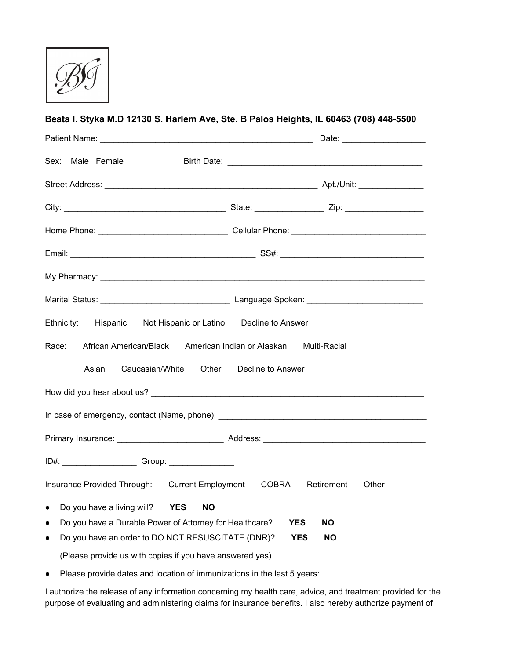

| Sex: Male Female                                                                                                          |                         |
|---------------------------------------------------------------------------------------------------------------------------|-------------------------|
|                                                                                                                           |                         |
|                                                                                                                           |                         |
|                                                                                                                           |                         |
|                                                                                                                           |                         |
|                                                                                                                           |                         |
|                                                                                                                           |                         |
| Ethnicity:<br>Hispanic Not Hispanic or Latino Decline to Answer                                                           |                         |
| African American/Black American Indian or Alaskan<br>Race:                                                                | Multi-Racial            |
| Caucasian/White<br>Other<br>Asian                                                                                         | Decline to Answer       |
|                                                                                                                           |                         |
|                                                                                                                           |                         |
|                                                                                                                           |                         |
|                                                                                                                           |                         |
| Insurance Provided Through: Current Employment COBRA Retirement                                                           | Other                   |
| Do you have a living will?<br><b>YES</b><br><b>NO</b><br>$\bullet$                                                        |                         |
| Do you have a Durable Power of Attorney for Healthcare?<br>$\bullet$<br>Do you have an order to DO NOT RESUSCITATE (DNR)? | <b>YES</b><br><b>NO</b> |
| $\bullet$<br>(Please provide us with copies if you have answered yes)                                                     | <b>YES</b><br><b>NO</b> |

**Beata I. Styka M.D 12130 S. Harlem Ave, Ste. B Palos Heights, IL 60463 (708) 448-5500**

● Please provide dates and location of immunizations in the last 5 years:

I authorize the release of any information concerning my health care, advice, and treatment provided for the purpose of evaluating and administering claims for insurance benefits. I also hereby authorize payment of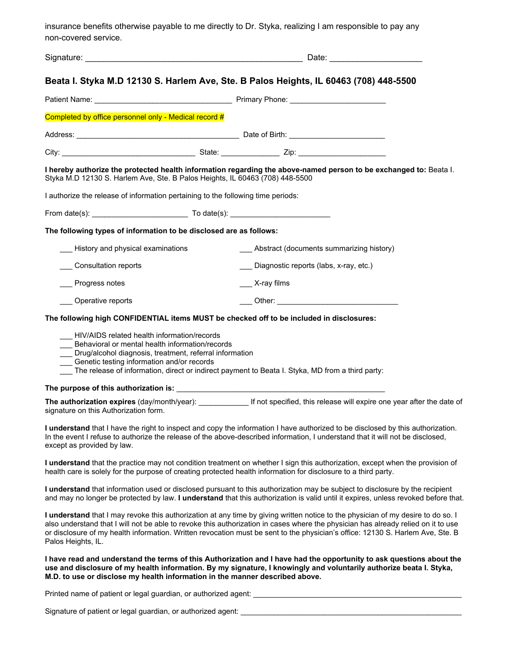insurance benefits otherwise payable to me directly to Dr. Styka, realizing I am responsible to pay any non-covered service.

|                                                                                                                                                                                                            | Beata I. Styka M.D 12130 S. Harlem Ave, Ste. B Palos Heights, IL 60463 (708) 448-5500                                                                                                                                                                                 |
|------------------------------------------------------------------------------------------------------------------------------------------------------------------------------------------------------------|-----------------------------------------------------------------------------------------------------------------------------------------------------------------------------------------------------------------------------------------------------------------------|
|                                                                                                                                                                                                            |                                                                                                                                                                                                                                                                       |
| Completed by office personnel only - Medical record #                                                                                                                                                      |                                                                                                                                                                                                                                                                       |
|                                                                                                                                                                                                            |                                                                                                                                                                                                                                                                       |
|                                                                                                                                                                                                            |                                                                                                                                                                                                                                                                       |
| Styka M.D 12130 S. Harlem Ave, Ste. B Palos Heights, IL 60463 (708) 448-5500                                                                                                                               | I hereby authorize the protected health information regarding the above-named person to be exchanged to: Beatal.                                                                                                                                                      |
| I authorize the release of information pertaining to the following time periods:                                                                                                                           |                                                                                                                                                                                                                                                                       |
| From date(s): To date(s): To date(s):                                                                                                                                                                      |                                                                                                                                                                                                                                                                       |
| The following types of information to be disclosed are as follows:                                                                                                                                         |                                                                                                                                                                                                                                                                       |
| History and physical examinations                                                                                                                                                                          | __ Abstract (documents summarizing history)                                                                                                                                                                                                                           |
| Consultation reports                                                                                                                                                                                       | Diagnostic reports (labs, x-ray, etc.)                                                                                                                                                                                                                                |
| Progress notes                                                                                                                                                                                             | X-ray films                                                                                                                                                                                                                                                           |
| ___ Operative reports                                                                                                                                                                                      |                                                                                                                                                                                                                                                                       |
|                                                                                                                                                                                                            | The following high CONFIDENTIAL items MUST be checked off to be included in disclosures:                                                                                                                                                                              |
| HIV/AIDS related health information/records<br>Behavioral or mental health information/records<br>__ Drug/alcohol diagnosis, treatment, referral information<br>Genetic testing information and/or records | The release of information, direct or indirect payment to Beata I. Styka, MD from a third party:                                                                                                                                                                      |
|                                                                                                                                                                                                            |                                                                                                                                                                                                                                                                       |
| signature on this Authorization form.                                                                                                                                                                      | The authorization expires (day/month/year): If not specified, this release will expire one year after the date of                                                                                                                                                     |
| except as provided by law.                                                                                                                                                                                 | I understand that I have the right to inspect and copy the information I have authorized to be disclosed by this authorization.<br>In the event I refuse to authorize the release of the above-described information, I understand that it will not be disclosed,     |
|                                                                                                                                                                                                            | I understand that the practice may not condition treatment on whether I sign this authorization, except when the provision of<br>health care is solely for the purpose of creating protected health information for disclosure to a third party.                      |
|                                                                                                                                                                                                            | I understand that information used or disclosed pursuant to this authorization may be subject to disclosure by the recipient<br>and may no longer be protected by law. I understand that this authorization is valid until it expires, unless revoked before that.    |
|                                                                                                                                                                                                            | I understand that I may revoke this authorization at any time by giving written notice to the physician of my desire to do so. I<br>also understand that I will not be able to revoke this authorization in cases where the physician has already relied on it to use |

Palos Heights, IL. **I have read and understand the terms of this Authorization and I have had the opportunity to ask questions about the use and disclosure of my health information. By my signature, I knowingly and voluntarily authorize beata I. Styka, M.D. to use or disclose my health information in the manner described above.**

or disclosure of my health information. Written revocation must be sent to the physician's office: 12130 S. Harlem Ave, Ste. B

Printed name of patient or legal guardian, or authorized agent: \_\_\_\_\_\_\_\_\_\_\_\_\_\_\_\_\_\_\_\_\_\_\_\_\_\_\_\_\_\_\_\_\_\_\_\_\_\_\_\_\_\_\_\_\_\_\_\_\_\_

Signature of patient or legal guardian, or authorized agent: \_\_\_\_\_\_\_\_\_\_\_\_\_\_\_\_\_\_\_\_\_\_\_\_\_\_\_\_\_\_\_\_\_\_\_\_\_\_\_\_\_\_\_\_\_\_\_\_\_\_\_\_\_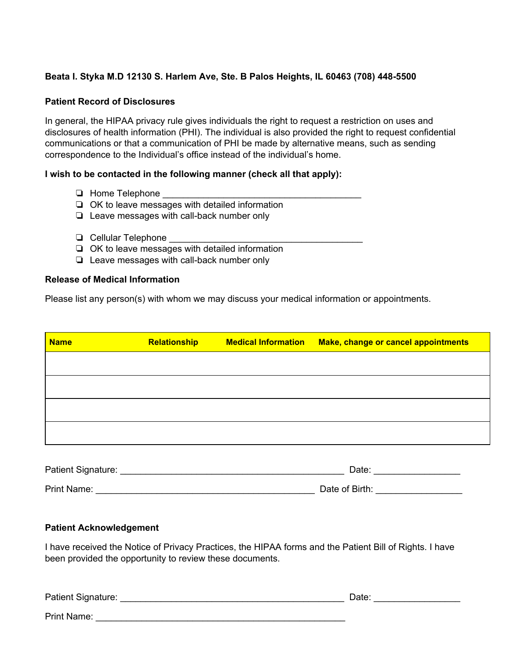### **Beata I. Styka M.D 12130 S. Harlem Ave, Ste. B Palos Heights, IL 60463 (708) 448-5500**

#### **Patient Record of Disclosures**

In general, the HIPAA privacy rule gives individuals the right to request a restriction on uses and disclosures of health information (PHI). The individual is also provided the right to request confidential communications or that a communication of PHI be made by alternative means, such as sending correspondence to the Individual's office instead of the individual's home.

#### **I wish to be contacted in the following manner (check all that apply):**

- ❏ Home Telephone \_\_\_\_\_\_\_\_\_\_\_\_\_\_\_\_\_\_\_\_\_\_\_\_\_\_\_\_\_\_\_\_\_\_\_\_\_\_\_
- ❏ OK to leave messages with detailed information
- ❏ Leave messages with call-back number only
- ❏ Cellular Telephone \_\_\_\_\_\_\_\_\_\_\_\_\_\_\_\_\_\_\_\_\_\_\_\_\_\_\_\_\_\_\_\_\_\_\_\_\_\_
- ❏ OK to leave messages with detailed information
- ❏ Leave messages with call-back number only

#### **Release of Medical Information**

Please list any person(s) with whom we may discuss your medical information or appointments.

| Relationship | <b>Medical Information</b> | <b>Make, change or cancel appointments</b> |
|--------------|----------------------------|--------------------------------------------|
|              |                            |                                            |
|              |                            |                                            |
|              |                            |                                            |
|              |                            |                                            |
|              |                            |                                            |
|              |                            |                                            |

| Patient Signature: | Date:          |
|--------------------|----------------|
| Print Name:        | Date of Birth: |

#### **Patient Acknowledgement**

I have received the Notice of Privacy Practices, the HIPAA forms and the Patient Bill of Rights. I have been provided the opportunity to review these documents.

| Patient Signature: | Date: |
|--------------------|-------|
|                    |       |

Print Name: \_\_\_\_\_\_\_\_\_\_\_\_\_\_\_\_\_\_\_\_\_\_\_\_\_\_\_\_\_\_\_\_\_\_\_\_\_\_\_\_\_\_\_\_\_\_\_\_\_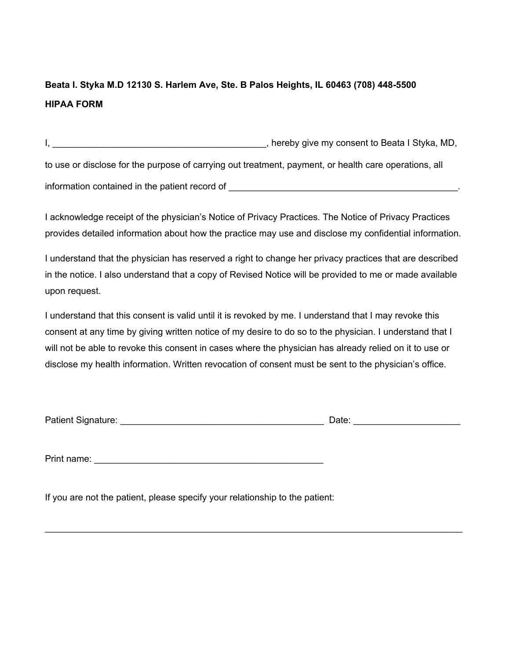# **Beata I. Styka M.D 12130 S. Harlem Ave, Ste. B Palos Heights, IL 60463 (708) 448-5500 HIPAA FORM**

I, **I**, **Example 20** is the consented and the set of the set of the set of the set of the set of the set of the set of the set of the set of the set of the set of the set of the set of the set of the set of the set of the to use or disclose for the purpose of carrying out treatment, payment, or health care operations, all information contained in the patient record of \_\_\_\_\_\_\_\_\_\_\_\_\_\_\_\_\_\_\_\_\_\_\_\_\_\_\_\_\_\_\_\_\_\_\_\_\_\_\_\_\_\_\_\_\_.

I acknowledge receipt of the physician's Notice of Privacy Practices. The Notice of Privacy Practices provides detailed information about how the practice may use and disclose my confidential information.

I understand that the physician has reserved a right to change her privacy practices that are described in the notice. I also understand that a copy of Revised Notice will be provided to me or made available upon request.

I understand that this consent is valid until it is revoked by me. I understand that I may revoke this consent at any time by giving written notice of my desire to do so to the physician. I understand that I will not be able to revoke this consent in cases where the physician has already relied on it to use or disclose my health information. Written revocation of consent must be sent to the physician's office.

| Patient Signature: | Date: |  |
|--------------------|-------|--|
|                    |       |  |

\_\_\_\_\_\_\_\_\_\_\_\_\_\_\_\_\_\_\_\_\_\_\_\_\_\_\_\_\_\_\_\_\_\_\_\_\_\_\_\_\_\_\_\_\_\_\_\_\_\_\_\_\_\_\_\_\_\_\_\_\_\_\_\_\_\_\_\_\_\_\_\_\_\_\_\_\_\_\_\_\_\_

Print name: \_\_\_\_\_\_\_\_\_\_\_\_\_\_\_\_\_\_\_\_\_\_\_\_\_\_\_\_\_\_\_\_\_\_\_\_\_\_\_\_\_\_\_\_\_

If you are not the patient, please specify your relationship to the patient: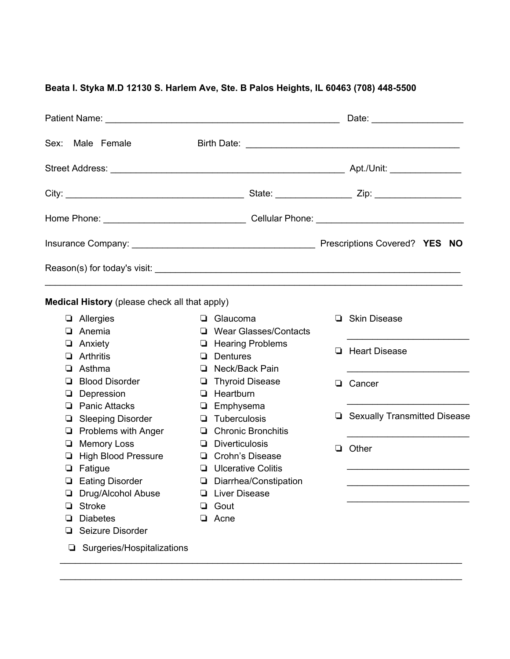## **Beata I. Styka M.D 12130 S. Harlem Ave, Ste. B Palos Heights, IL 60463 (708) 448-5500**

|                   |                                                                                |    |                                                                                             |        | Date: ______________________                                    |
|-------------------|--------------------------------------------------------------------------------|----|---------------------------------------------------------------------------------------------|--------|-----------------------------------------------------------------|
| Sex:              | Male Female                                                                    |    |                                                                                             |        |                                                                 |
|                   |                                                                                |    |                                                                                             |        |                                                                 |
|                   |                                                                                |    |                                                                                             |        |                                                                 |
|                   |                                                                                |    |                                                                                             |        |                                                                 |
|                   |                                                                                |    |                                                                                             |        |                                                                 |
|                   |                                                                                |    |                                                                                             |        |                                                                 |
|                   | Medical History (please check all that apply)                                  |    |                                                                                             |        |                                                                 |
|                   | Allergies                                                                      |    | $\Box$ Glaucoma                                                                             |        | □ Skin Disease                                                  |
| u.<br>⊔<br>❏<br>❏ | Anemia<br>Anxiety<br>Arthritis<br>Asthma                                       |    | □ Wear Glasses/Contacts<br><b>E</b> Hearing Problems<br>$\Box$ Dentures<br>□ Neck/Back Pain | ❏      | <u> 1989 - Johann Barbara, martin a</u><br><b>Heart Disease</b> |
| ப<br>u            | <b>Blood Disorder</b><br>Depression                                            |    | Thyroid Disease<br>$\Box$ Heartburn                                                         |        | <b>Q</b> Cancer                                                 |
| ப<br>❏            | <b>Panic Attacks</b><br><b>Sleeping Disorder</b><br>$\Box$ Problems with Anger |    | $\Box$ Emphysema<br>$\Box$ Tuberculosis<br>□ Chronic Bronchitis                             |        | □ Sexually Transmitted Disease                                  |
| ❏<br>u            | <b>Memory Loss</b><br><b>High Blood Pressure</b><br>Fatigue                    |    | $\Box$ Diverticulosis<br>□ Crohn's Disease<br><b>U</b> Ulcerative Colitis                   | $\Box$ | Other                                                           |
| ❏                 | <b>Eating Disorder</b>                                                         |    | Diarrhea/Constipation                                                                       |        |                                                                 |
|                   | <b>Drug/Alcohol Abuse</b>                                                      |    | <b>Liver Disease</b>                                                                        |        |                                                                 |
| ❏                 | <b>Stroke</b>                                                                  | O. | Gout                                                                                        |        |                                                                 |
| ❏                 | <b>Diabetes</b>                                                                |    | <b>Q</b> Acne                                                                               |        |                                                                 |
| u                 | Seizure Disorder                                                               |    |                                                                                             |        |                                                                 |
|                   | Surgeries/Hospitalizations<br>❏                                                |    |                                                                                             |        |                                                                 |

\_\_\_\_\_\_\_\_\_\_\_\_\_\_\_\_\_\_\_\_\_\_\_\_\_\_\_\_\_\_\_\_\_\_\_\_\_\_\_\_\_\_\_\_\_\_\_\_\_\_\_\_\_\_\_\_\_\_\_\_\_\_\_\_\_\_\_\_\_\_\_\_\_\_\_\_\_\_\_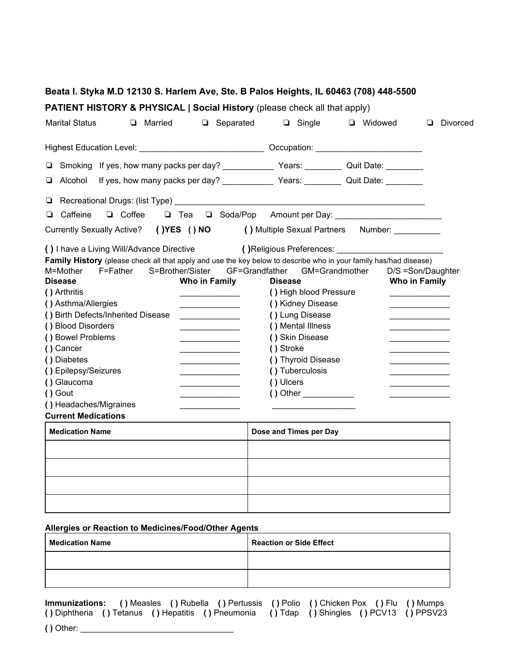| <b>PATIENT HISTORY &amp; PHYSICAL   Social History (please check all that apply)</b>                                                                                                                                                                                                                                                                                                                                                                                                                                                                                                                                                                                                                                                                                                                                                                                                         |                                                                                                                                                                                                                                  |                  |                                                                                    |
|----------------------------------------------------------------------------------------------------------------------------------------------------------------------------------------------------------------------------------------------------------------------------------------------------------------------------------------------------------------------------------------------------------------------------------------------------------------------------------------------------------------------------------------------------------------------------------------------------------------------------------------------------------------------------------------------------------------------------------------------------------------------------------------------------------------------------------------------------------------------------------------------|----------------------------------------------------------------------------------------------------------------------------------------------------------------------------------------------------------------------------------|------------------|------------------------------------------------------------------------------------|
| <b>Marital Status</b><br><b>Q</b> Married                                                                                                                                                                                                                                                                                                                                                                                                                                                                                                                                                                                                                                                                                                                                                                                                                                                    | □ Separated<br>$\Box$ Single                                                                                                                                                                                                     | <b>u</b> Widowed | Divorced<br>□                                                                      |
| Highest Education Level: _________________________________ Occupation: ____________________________                                                                                                                                                                                                                                                                                                                                                                                                                                                                                                                                                                                                                                                                                                                                                                                          |                                                                                                                                                                                                                                  |                  |                                                                                    |
|                                                                                                                                                                                                                                                                                                                                                                                                                                                                                                                                                                                                                                                                                                                                                                                                                                                                                              |                                                                                                                                                                                                                                  |                  |                                                                                    |
| Alcohol<br>❏                                                                                                                                                                                                                                                                                                                                                                                                                                                                                                                                                                                                                                                                                                                                                                                                                                                                                 |                                                                                                                                                                                                                                  |                  |                                                                                    |
|                                                                                                                                                                                                                                                                                                                                                                                                                                                                                                                                                                                                                                                                                                                                                                                                                                                                                              |                                                                                                                                                                                                                                  |                  |                                                                                    |
| Caffeine<br><b>Q</b> Coffee<br>❏                                                                                                                                                                                                                                                                                                                                                                                                                                                                                                                                                                                                                                                                                                                                                                                                                                                             |                                                                                                                                                                                                                                  |                  |                                                                                    |
| Currently Sexually Active? ()YES () NO () Multiple Sexual Partners Number: ______                                                                                                                                                                                                                                                                                                                                                                                                                                                                                                                                                                                                                                                                                                                                                                                                            |                                                                                                                                                                                                                                  |                  |                                                                                    |
| Family History (please check all that apply and use the key below to describe who in your family has/had disease)<br>S=Brother/Sister<br>M=Mother<br>F=Father<br>Who in Family<br><b>Disease</b><br>() Arthritis<br><u>experience</u> and the control of the control of<br>() Asthma/Allergies<br><u> 1989 - Johann John Stein, fransk politik (</u><br>() Birth Defects/Inherited Disease<br>() Blood Disorders<br>() Bowel Problems<br>the control of the control of the control of<br>() Cancer<br><u> 1989 - Johann Stein, fransk politik forhold og det ble større og det ble større og det ble større og det ble </u><br>() Diabetes<br>() Epilepsy/Seizures<br><u> 1980 - Johann Barbara, martin d</u><br>() Glaucoma<br><u> Listen de la componenta</u><br>() Gout<br><u> 1980 - Johann Stein, fransk politik fotograf (</u><br>() Headaches/Migraines<br><b>Current Medications</b> | GF=Grandfather<br><b>Disease</b><br>() High blood Pressure<br>() Kidney Disease<br>() Lung Disease<br>() Mental Illness<br>() Skin Disease<br>() Stroke<br>() Thyroid Disease<br>() Tuberculosis<br>() Ulcers<br>$() Other$ $()$ | GM=Grandmother   | D/S =Son/Daughter<br>Who in Family<br>the control of the control of the control of |
| <b>Medication Name</b>                                                                                                                                                                                                                                                                                                                                                                                                                                                                                                                                                                                                                                                                                                                                                                                                                                                                       | Dose and Times per Day                                                                                                                                                                                                           |                  |                                                                                    |
|                                                                                                                                                                                                                                                                                                                                                                                                                                                                                                                                                                                                                                                                                                                                                                                                                                                                                              |                                                                                                                                                                                                                                  |                  |                                                                                    |

| <b>Medication Name</b> | <b>Reaction or Side Effect</b> |
|------------------------|--------------------------------|
|                        |                                |
|                        |                                |

**Immunizations: ( )** Measles **( )** Rubella **( )** Pertussis **( )** Polio **( )** Chicken Pox **( )** Flu **( )** Mumps **( )** Diphtheria **( )** Tetanus **( )** Hepatitis **( )** Pneumonia **( )** Tdap **( )** Shingles **( )** PCV13 **( )** PPSV23 **( )** Other: \_\_\_\_\_\_\_\_\_\_\_\_\_\_\_\_\_\_\_\_\_\_\_\_\_\_\_\_\_\_\_\_\_